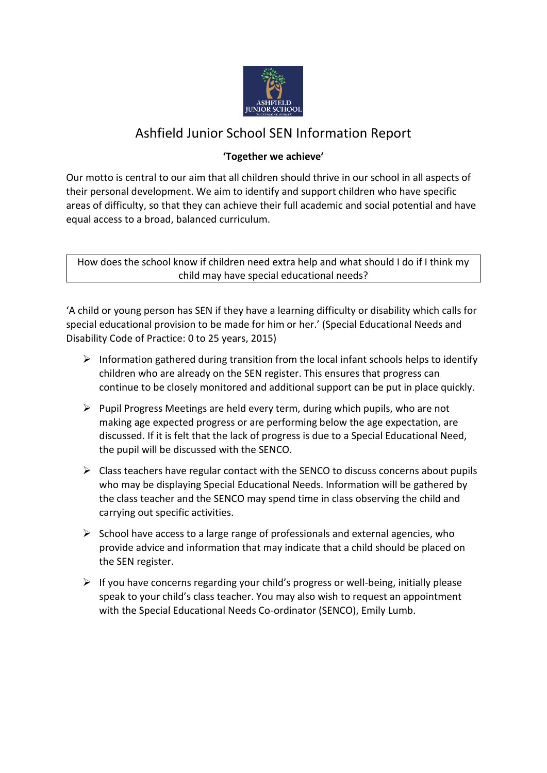

# Ashfield Junior School SEN Information Report

# **'Together we achieve'**

Our motto is central to our aim that all children should thrive in our school in all aspects of their personal development. We aim to identify and support children who have specific areas of difficulty, so that they can achieve their full academic and social potential and have equal access to a broad, balanced curriculum.

How does the school know if children need extra help and what should I do if I think my child may have special educational needs?

'A child or young person has SEN if they have a learning difficulty or disability which calls for special educational provision to be made for him or her.' (Special Educational Needs and Disability Code of Practice: 0 to 25 years, 2015)

- $\triangleright$  Information gathered during transition from the local infant schools helps to identify children who are already on the SEN register. This ensures that progress can continue to be closely monitored and additional support can be put in place quickly.
- ➢ Pupil Progress Meetings are held every term, during which pupils, who are not making age expected progress or are performing below the age expectation, are discussed. If it is felt that the lack of progress is due to a Special Educational Need, the pupil will be discussed with the SENCO.
- $\triangleright$  Class teachers have regular contact with the SENCO to discuss concerns about pupils who may be displaying Special Educational Needs. Information will be gathered by the class teacher and the SENCO may spend time in class observing the child and carrying out specific activities.
- $\triangleright$  School have access to a large range of professionals and external agencies, who provide advice and information that may indicate that a child should be placed on the SEN register.
- $\triangleright$  If you have concerns regarding your child's progress or well-being, initially please speak to your child's class teacher. You may also wish to request an appointment with the Special Educational Needs Co-ordinator (SENCO), Emily Lumb.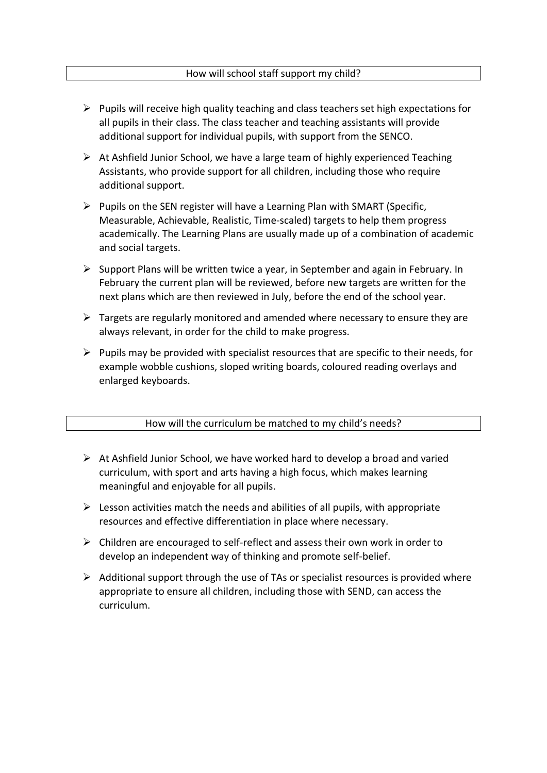- $\triangleright$  Pupils will receive high quality teaching and class teachers set high expectations for all pupils in their class. The class teacher and teaching assistants will provide additional support for individual pupils, with support from the SENCO.
- ➢ At Ashfield Junior School, we have a large team of highly experienced Teaching Assistants, who provide support for all children, including those who require additional support.
- $\triangleright$  Pupils on the SEN register will have a Learning Plan with SMART (Specific, Measurable, Achievable, Realistic, Time-scaled) targets to help them progress academically. The Learning Plans are usually made up of a combination of academic and social targets.
- $\triangleright$  Support Plans will be written twice a year, in September and again in February. In February the current plan will be reviewed, before new targets are written for the next plans which are then reviewed in July, before the end of the school year.
- $\triangleright$  Targets are regularly monitored and amended where necessary to ensure they are always relevant, in order for the child to make progress.
- $\triangleright$  Pupils may be provided with specialist resources that are specific to their needs, for example wobble cushions, sloped writing boards, coloured reading overlays and enlarged keyboards.

# How will the curriculum be matched to my child's needs?

- ➢ At Ashfield Junior School, we have worked hard to develop a broad and varied curriculum, with sport and arts having a high focus, which makes learning meaningful and enjoyable for all pupils.
- $\triangleright$  Lesson activities match the needs and abilities of all pupils, with appropriate resources and effective differentiation in place where necessary.
- ➢ Children are encouraged to self-reflect and assess their own work in order to develop an independent way of thinking and promote self-belief.
- $\triangleright$  Additional support through the use of TAs or specialist resources is provided where appropriate to ensure all children, including those with SEND, can access the curriculum.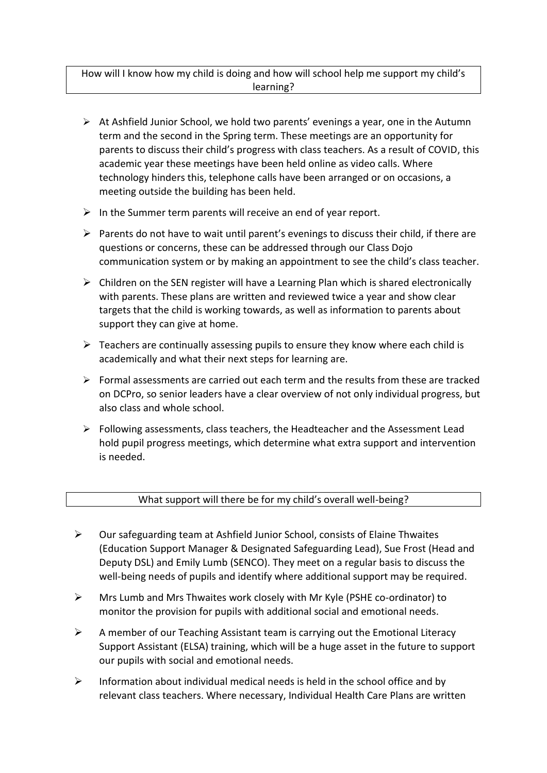# How will I know how my child is doing and how will school help me support my child's learning?

- ➢ At Ashfield Junior School, we hold two parents' evenings a year, one in the Autumn term and the second in the Spring term. These meetings are an opportunity for parents to discuss their child's progress with class teachers. As a result of COVID, this academic year these meetings have been held online as video calls. Where technology hinders this, telephone calls have been arranged or on occasions, a meeting outside the building has been held.
- $\triangleright$  In the Summer term parents will receive an end of year report.
- $\triangleright$  Parents do not have to wait until parent's evenings to discuss their child, if there are questions or concerns, these can be addressed through our Class Dojo communication system or by making an appointment to see the child's class teacher.
- $\triangleright$  Children on the SEN register will have a Learning Plan which is shared electronically with parents. These plans are written and reviewed twice a year and show clear targets that the child is working towards, as well as information to parents about support they can give at home.
- $\triangleright$  Teachers are continually assessing pupils to ensure they know where each child is academically and what their next steps for learning are.
- $\triangleright$  Formal assessments are carried out each term and the results from these are tracked on DCPro, so senior leaders have a clear overview of not only individual progress, but also class and whole school.
- $\triangleright$  Following assessments, class teachers, the Headteacher and the Assessment Lead hold pupil progress meetings, which determine what extra support and intervention is needed.

#### What support will there be for my child's overall well-being?

- ➢ Our safeguarding team at Ashfield Junior School, consists of Elaine Thwaites (Education Support Manager & Designated Safeguarding Lead), Sue Frost (Head and Deputy DSL) and Emily Lumb (SENCO). They meet on a regular basis to discuss the well-being needs of pupils and identify where additional support may be required.
- ➢ Mrs Lumb and Mrs Thwaites work closely with Mr Kyle (PSHE co-ordinator) to monitor the provision for pupils with additional social and emotional needs.
- ➢ A member of our Teaching Assistant team is carrying out the Emotional Literacy Support Assistant (ELSA) training, which will be a huge asset in the future to support our pupils with social and emotional needs.
- $\triangleright$  Information about individual medical needs is held in the school office and by relevant class teachers. Where necessary, Individual Health Care Plans are written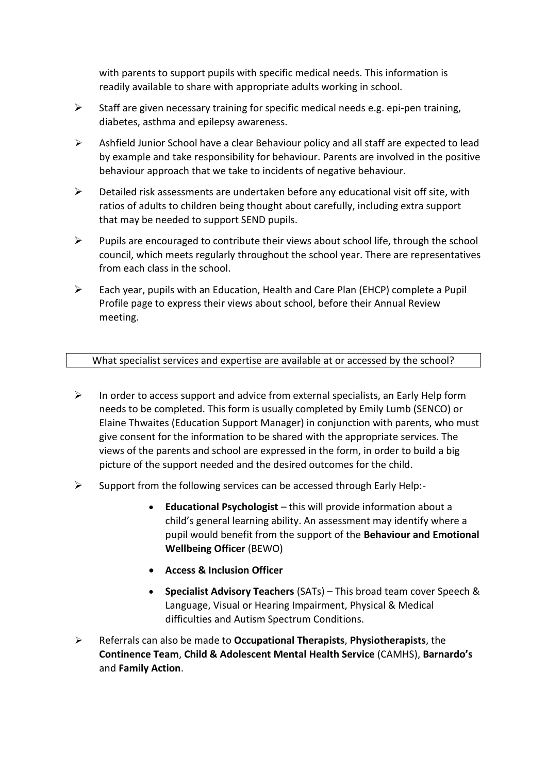with parents to support pupils with specific medical needs. This information is readily available to share with appropriate adults working in school.

- $\triangleright$  Staff are given necessary training for specific medical needs e.g. epi-pen training, diabetes, asthma and epilepsy awareness.
- $\triangleright$  Ashfield Junior School have a clear Behaviour policy and all staff are expected to lead by example and take responsibility for behaviour. Parents are involved in the positive behaviour approach that we take to incidents of negative behaviour.
- $\triangleright$  Detailed risk assessments are undertaken before any educational visit off site, with ratios of adults to children being thought about carefully, including extra support that may be needed to support SEND pupils.
- $\triangleright$  Pupils are encouraged to contribute their views about school life, through the school council, which meets regularly throughout the school year. There are representatives from each class in the school.
- ➢ Each year, pupils with an Education, Health and Care Plan (EHCP) complete a Pupil Profile page to express their views about school, before their Annual Review meeting.

#### What specialist services and expertise are available at or accessed by the school?

- $\triangleright$  In order to access support and advice from external specialists, an Early Help form needs to be completed. This form is usually completed by Emily Lumb (SENCO) or Elaine Thwaites (Education Support Manager) in conjunction with parents, who must give consent for the information to be shared with the appropriate services. The views of the parents and school are expressed in the form, in order to build a big picture of the support needed and the desired outcomes for the child.
- ➢ Support from the following services can be accessed through Early Help:-
	- **Educational Psychologist** this will provide information about a child's general learning ability. An assessment may identify where a pupil would benefit from the support of the **Behaviour and Emotional Wellbeing Officer** (BEWO)
	- **Access & Inclusion Officer**
	- **Specialist Advisory Teachers** (SATs) This broad team cover Speech & Language, Visual or Hearing Impairment, Physical & Medical difficulties and Autism Spectrum Conditions.
- ➢ Referrals can also be made to **Occupational Therapists**, **Physiotherapists**, the **Continence Team**, **Child & Adolescent Mental Health Service** (CAMHS), **Barnardo's** and **Family Action**.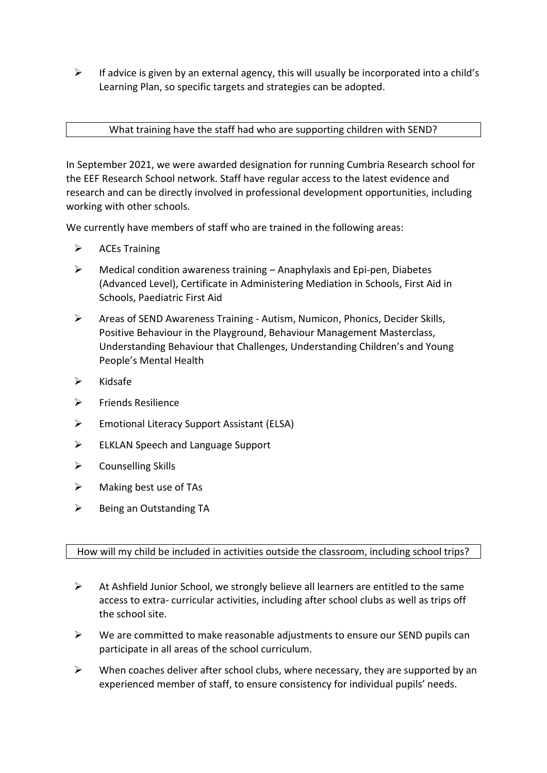$\triangleright$  If advice is given by an external agency, this will usually be incorporated into a child's Learning Plan, so specific targets and strategies can be adopted.

#### What training have the staff had who are supporting children with SEND?

In September 2021, we were awarded designation for running Cumbria Research school for the EEF Research School network. Staff have regular access to the latest evidence and research and can be directly involved in professional development opportunities, including working with other schools.

We currently have members of staff who are trained in the following areas:

- ➢ ACEs Training
- $\triangleright$  Medical condition awareness training Anaphylaxis and Epi-pen, Diabetes (Advanced Level), Certificate in Administering Mediation in Schools, First Aid in Schools, Paediatric First Aid
- ➢ Areas of SEND Awareness Training Autism, Numicon, Phonics, Decider Skills, Positive Behaviour in the Playground, Behaviour Management Masterclass, Understanding Behaviour that Challenges, Understanding Children's and Young People's Mental Health
- ➢ Kidsafe
- ➢ Friends Resilience
- ➢ Emotional Literacy Support Assistant (ELSA)
- ➢ ELKLAN Speech and Language Support
- $\triangleright$  Counselling Skills
- $\triangleright$  Making best use of TAs
- ➢ Being an Outstanding TA

# How will my child be included in activities outside the classroom, including school trips?

- ➢ At Ashfield Junior School, we strongly believe all learners are entitled to the same access to extra- curricular activities, including after school clubs as well as trips off the school site.
- ➢ We are committed to make reasonable adjustments to ensure our SEND pupils can participate in all areas of the school curriculum.
- $\triangleright$  When coaches deliver after school clubs, where necessary, they are supported by an experienced member of staff, to ensure consistency for individual pupils' needs.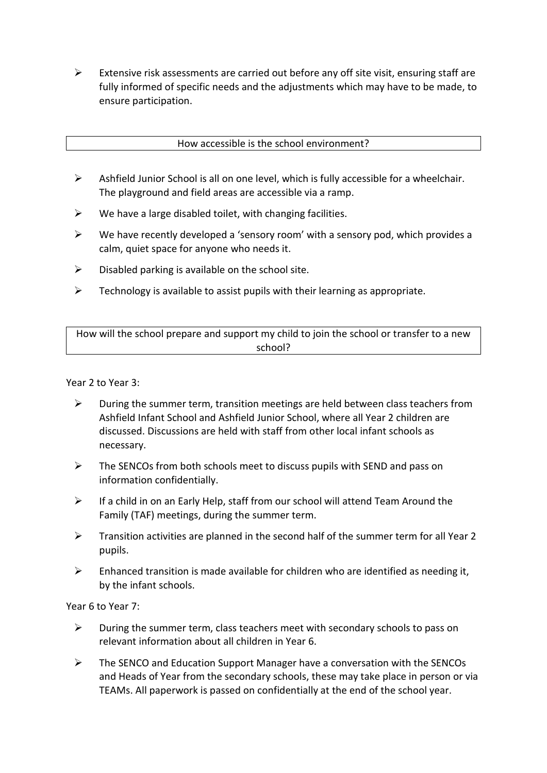$\triangleright$  Extensive risk assessments are carried out before any off site visit, ensuring staff are fully informed of specific needs and the adjustments which may have to be made, to ensure participation.

How accessible is the school environment?

- ➢ Ashfield Junior School is all on one level, which is fully accessible for a wheelchair. The playground and field areas are accessible via a ramp.
- $\triangleright$  We have a large disabled toilet, with changing facilities.
- $\triangleright$  We have recently developed a 'sensory room' with a sensory pod, which provides a calm, quiet space for anyone who needs it.
- $\triangleright$  Disabled parking is available on the school site.
- $\triangleright$  Technology is available to assist pupils with their learning as appropriate.

How will the school prepare and support my child to join the school or transfer to a new school?

Year 2 to Year 3:

- $\triangleright$  During the summer term, transition meetings are held between class teachers from Ashfield Infant School and Ashfield Junior School, where all Year 2 children are discussed. Discussions are held with staff from other local infant schools as necessary.
- $\triangleright$  The SENCOs from both schools meet to discuss pupils with SEND and pass on information confidentially.
- $\triangleright$  If a child in on an Early Help, staff from our school will attend Team Around the Family (TAF) meetings, during the summer term.
- ➢ Transition activities are planned in the second half of the summer term for all Year 2 pupils.
- $\triangleright$  Enhanced transition is made available for children who are identified as needing it. by the infant schools.

Year 6 to Year 7:

- $\triangleright$  During the summer term, class teachers meet with secondary schools to pass on relevant information about all children in Year 6.
- ➢ The SENCO and Education Support Manager have a conversation with the SENCOs and Heads of Year from the secondary schools, these may take place in person or via TEAMs. All paperwork is passed on confidentially at the end of the school year.